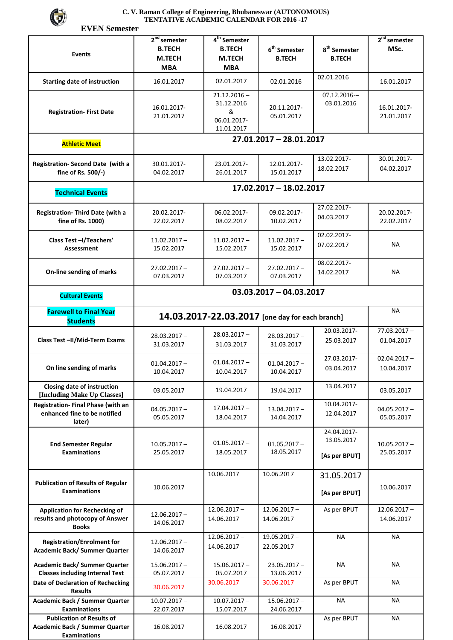

## **C. V. Raman College of Engineering, Bhubaneswar (AUTONOMOUS) TENTATIVE ACADEMIC CALENDAR FOR 2016 -17**

 **EVEN Semester** 

| <b>Events</b>                                                                             | $2nd$ semester<br><b>B.TECH</b><br>M.TECH<br><b>MBA</b> | 4 <sup>th</sup> Semester<br><b>B.TECH</b><br><b>M.TECH</b><br><b>MBA</b> | $6th$ Semester<br><b>B.TECH</b> | $\textbf{8}^{\text{th}}$ Semester<br><b>B.TECH</b> | $2nd$ semester<br>MSc.       |  |  |  |
|-------------------------------------------------------------------------------------------|---------------------------------------------------------|--------------------------------------------------------------------------|---------------------------------|----------------------------------------------------|------------------------------|--|--|--|
| <b>Starting date of instruction</b>                                                       | 16.01.2017                                              | 02.01.2017                                                               | 02.01.2016                      | 02.01.2016                                         | 16.01.2017                   |  |  |  |
| <b>Registration- First Date</b>                                                           | 16.01.2017-<br>21.01.2017                               | $21.12.2016 -$<br>31.12.2016<br>&<br>06.01.2017-<br>11.01.2017           | 20.11.2017-<br>05.01.2017       | $07.12.2016 -$<br>03.01.2016                       | 16.01.2017-<br>21.01.2017    |  |  |  |
| <b>Athletic Meet</b>                                                                      | 27.01.2017 - 28.01.2017                                 |                                                                          |                                 |                                                    |                              |  |  |  |
| Registration- Second Date (with a<br>fine of Rs. 500/-)                                   | 30.01.2017-<br>04.02.2017                               | 23.01.2017-<br>26.01.2017                                                | 12.01.2017-<br>15.01.2017       | 13.02.2017-<br>18.02.2017                          | 30.01.2017-<br>04.02.2017    |  |  |  |
| <b>Technical Events</b>                                                                   | 17.02.2017 - 18.02.2017                                 |                                                                          |                                 |                                                    |                              |  |  |  |
| Registration- Third Date (with a<br>fine of Rs. 1000)                                     | 20.02.2017-<br>22.02.2017                               | 06.02.2017-<br>08.02.2017                                                | 09.02.2017-<br>10.02.2017       | 27.02.2017-<br>04.03.2017                          | 20.02.2017-<br>22.02.2017    |  |  |  |
| Class Test-I/Teachers'<br><b>Assessment</b>                                               | $11.02.2017 -$<br>15.02.2017                            | $11.02.2017 -$<br>15.02.2017                                             | $11.02.2017 -$<br>15.02.2017    | 02.02.2017-<br>07.02.2017                          | ΝA                           |  |  |  |
| On-line sending of marks                                                                  | $27.02.2017 -$<br>07.03.2017                            | $27.02.2017 -$<br>07.03.2017                                             | $27.02.2017 -$<br>07.03.2017    | 08.02.2017-<br>14.02.2017                          | ΝA                           |  |  |  |
| <b>Cultural Events</b>                                                                    | $03.03.2017 - 04.03.2017$                               |                                                                          |                                 |                                                    |                              |  |  |  |
| <b>Farewell to Final Year</b><br><b>Students</b>                                          | ΝA<br>14.03.2017-22.03.2017 [one day for each branch]   |                                                                          |                                 |                                                    |                              |  |  |  |
| Class Test-II/Mid-Term Exams                                                              | $28.03.2017 -$<br>31.03.2017                            | $28.03.2017 -$<br>31.03.2017                                             | $28.03.2017 -$<br>31.03.2017    | 20.03.2017-<br>25.03.2017                          | $77.03.2017 -$<br>01.04.2017 |  |  |  |
| On line sending of marks                                                                  | $01.04.2017 -$<br>10.04.2017                            | $01.04.2017 -$<br>10.04.2017                                             | $01.04.2017 -$<br>10.04.2017    | 27.03.2017-<br>03.04.2017                          | $02.04.2017 -$<br>10.04.2017 |  |  |  |
| Closing date of instruction<br>[Including Make Up Classes]                                | 03.05.2017                                              | 19.04.2017                                                               | 19.04.2017                      | 13.04.2017                                         | 03.05.2017                   |  |  |  |
| Registration- Final Phase (with an<br>enhanced fine to be notified<br>later)              | $04.05.2017 -$<br>05.05.2017                            | $17.04.2017 -$<br>18.04.2017                                             | $13.04.2017 -$<br>14.04.2017    | 10.04.2017-<br>12.04.2017                          | $04.05.2017 -$<br>05.05.2017 |  |  |  |
| <b>End Semester Regular</b><br><b>Examinations</b>                                        | $10.05.2017 -$<br>25.05.2017                            | $01.05.2017 -$<br>18.05.2017                                             | $01.05.2017 -$<br>18.05.2017    | 24.04.2017-<br>13.05.2017<br>[As per BPUT]         | $10.05.2017 -$<br>25.05.2017 |  |  |  |
| <b>Publication of Results of Regular</b><br><b>Examinations</b>                           | 10.06.2017                                              | 10.06.2017                                                               | 10.06.2017                      | 31.05.2017<br>[As per BPUT]                        | 10.06.2017                   |  |  |  |
| <b>Application for Rechecking of</b><br>results and photocopy of Answer<br><b>Books</b>   | $12.06.2017 -$<br>14.06.2017                            | $12.06.2017 -$<br>14.06.2017                                             | $12.06.2017 -$<br>14.06.2017    | As per BPUT                                        | $12.06.2017 -$<br>14.06.2017 |  |  |  |
| <b>Registration/Enrolment for</b><br>Academic Back/ Summer Quarter                        | $12.06.2017 -$<br>14.06.2017                            | $12.06.2017 -$<br>14.06.2017                                             | $19.05.2017 -$<br>22.05.2017    | <b>NA</b>                                          | <b>NA</b>                    |  |  |  |
| Academic Back/ Summer Quarter<br><b>Classes including Internal Test</b>                   | $15.06.2017 -$<br>05.07.2017                            | $15.06.2017 -$<br>05.07.2017                                             | $23.05.2017 -$<br>13.06.2017    | <b>NA</b>                                          | <b>NA</b>                    |  |  |  |
| Date of Declaration of Rechecking<br><b>Results</b>                                       | 30.06.2017                                              | 30.06.2017                                                               | 30.06.2017                      | As per BPUT                                        | NA                           |  |  |  |
| Academic Back / Summer Quarter<br><b>Examinations</b>                                     | $10.07.2017 -$<br>22.07.2017                            | $10.07.2017 -$<br>15.07.2017                                             | $15.06.2017 -$<br>24.06.2017    | <b>NA</b>                                          | ΝA                           |  |  |  |
| <b>Publication of Results of</b><br>Academic Back / Summer Quarter<br><b>Examinations</b> | 16.08.2017                                              | 16.08.2017                                                               | 16.08.2017                      | As per BPUT                                        | <b>NA</b>                    |  |  |  |